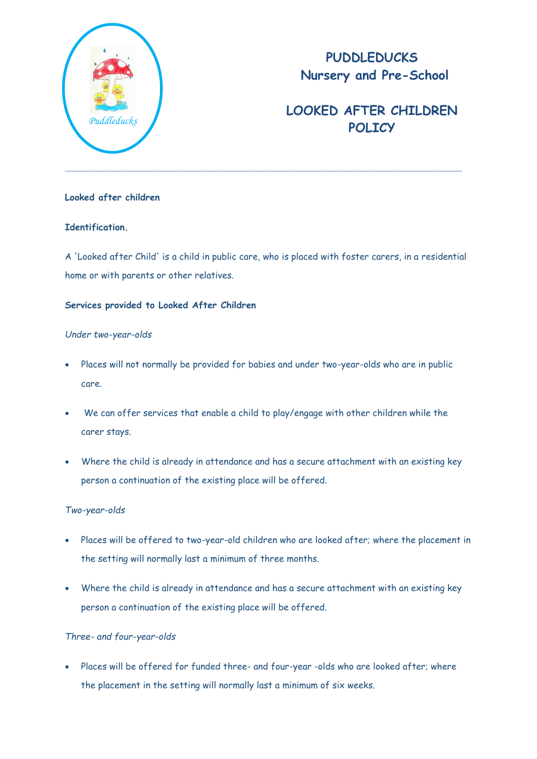

# **PUDDLEDUCKS Nursery and Pre-School**

# **LOOKED AFTER CHILDREN**  *Puddleducks* **POLICY**

## **Looked after children**

## **Identification.**

A 'Looked after Child' is a child in public care, who is placed with foster carers, in a residential home or with parents or other relatives.

### **Services provided to Looked After Children**

#### *Under two-year-olds*

- Places will not normally be provided for babies and under two-year-olds who are in public care.
- We can offer services that enable a child to play/engage with other children while the carer stays.
- Where the child is already in attendance and has a secure attachment with an existing key person a continuation of the existing place will be offered.

#### *Two-year-olds*

- Places will be offered to two-year-old children who are looked after; where the placement in the setting will normally last a minimum of three months.
- Where the child is already in attendance and has a secure attachment with an existing key person a continuation of the existing place will be offered.

## *Three- and four-year-olds*

 Places will be offered for funded three- and four-year -olds who are looked after; where the placement in the setting will normally last a minimum of six weeks.